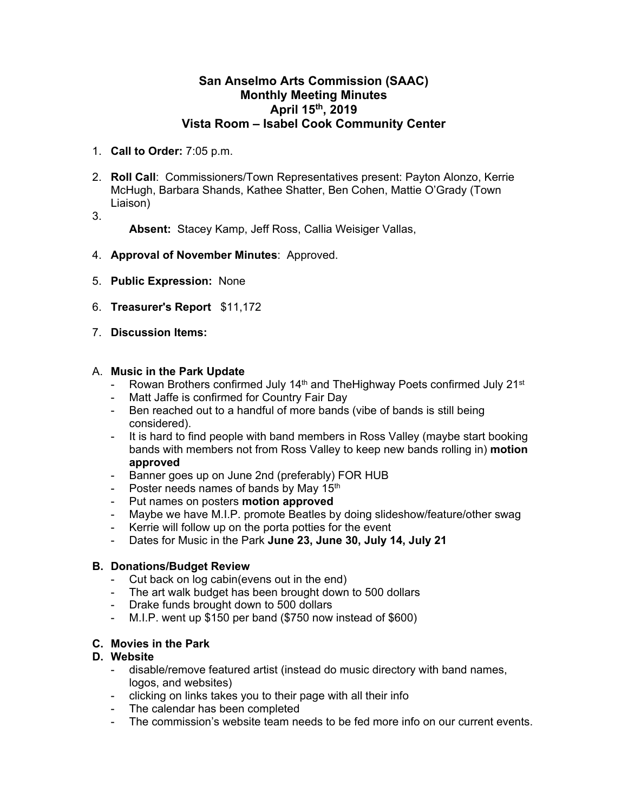## **San Anselmo Arts Commission (SAAC) Monthly Meeting Minutes April 15th, 2019 Vista Room – Isabel Cook Community Center**

- 1. **Call to Order:** 7:05 p.m.
- 2. **Roll Call**: Commissioners/Town Representatives present: Payton Alonzo, Kerrie McHugh, Barbara Shands, Kathee Shatter, Ben Cohen, Mattie O'Grady (Town Liaison)
- 3.

**Absent:** Stacey Kamp, Jeff Ross, Callia Weisiger Vallas,

- 4. **Approval of November Minutes**: Approved.
- 5. **Public Expression:** None
- 6. **Treasurer's Report** \$11,172
- 7. **Discussion Items:**

#### A. **Music in the Park Update**

- Rowan Brothers confirmed July 14<sup>th</sup> and The Highway Poets confirmed July 21<sup>st</sup>
- Matt Jaffe is confirmed for Country Fair Day
- Ben reached out to a handful of more bands (vibe of bands is still being considered).
- It is hard to find people with band members in Ross Valley (maybe start booking bands with members not from Ross Valley to keep new bands rolling in) **motion approved**
- Banner goes up on June 2nd (preferably) FOR HUB
- Poster needs names of bands by May  $15<sup>th</sup>$
- Put names on posters **motion approved**
- Maybe we have M.I.P. promote Beatles by doing slideshow/feature/other swag
- Kerrie will follow up on the porta potties for the event
- Dates for Music in the Park **June 23, June 30, July 14, July 21**

#### **B. Donations/Budget Review**

- Cut back on log cabin(evens out in the end)
- The art walk budget has been brought down to 500 dollars
- Drake funds brought down to 500 dollars
- M.I.P. went up \$150 per band (\$750 now instead of \$600)

## **C. Movies in the Park**

#### **D. Website**

- disable/remove featured artist (instead do music directory with band names, logos, and websites)
- clicking on links takes you to their page with all their info
- The calendar has been completed
- The commission's website team needs to be fed more info on our current events.